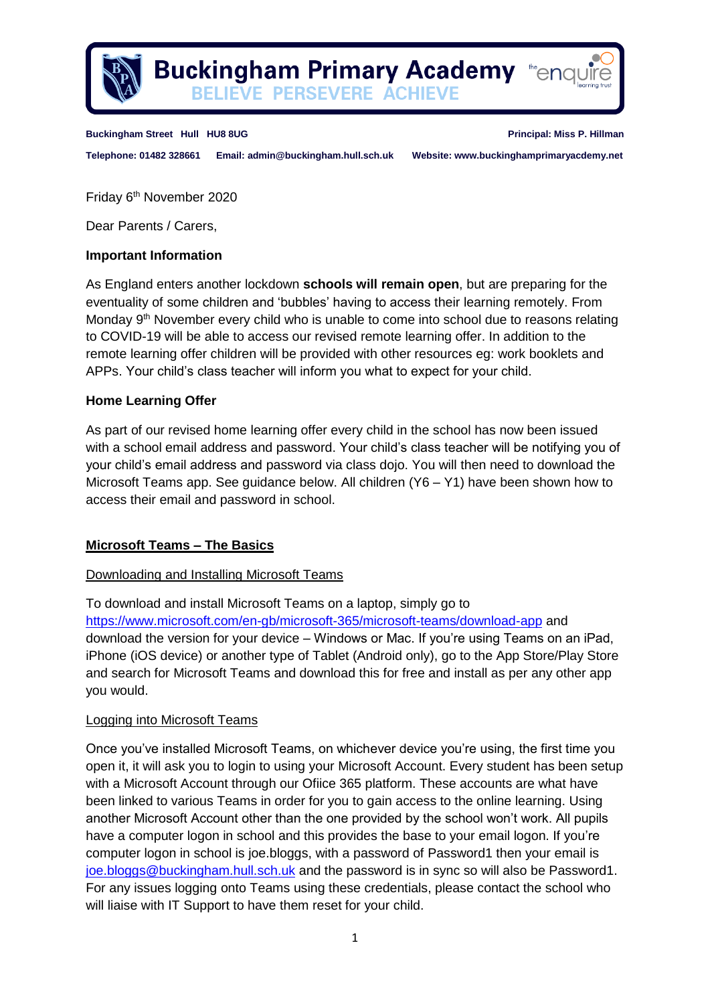

**Buckingham Primary Academy the Acamy BELIEVE PERSEVERE ACHIEVE** 

#### **Buckingham Street Hull HU8 8UG Principal: Miss P. Hillman**

**Telephone: 01482 328661 Email: admin@buckingham.hull.sch.uk Website: www.buckinghamprimaryacdemy.net**

Friday 6 th November 2020

Dear Parents / Carers,

## **Important Information**

As England enters another lockdown **schools will remain open**, but are preparing for the eventuality of some children and 'bubbles' having to access their learning remotely. From Monday 9<sup>th</sup> November every child who is unable to come into school due to reasons relating to COVID-19 will be able to access our revised remote learning offer. In addition to the remote learning offer children will be provided with other resources eg: work booklets and APPs. Your child's class teacher will inform you what to expect for your child.

## **Home Learning Offer**

As part of our revised home learning offer every child in the school has now been issued with a school email address and password. Your child's class teacher will be notifying you of your child's email address and password via class dojo. You will then need to download the Microsoft Teams app. See guidance below. All children (Y6 – Y1) have been shown how to access their email and password in school.

## **Microsoft Teams – The Basics**

## Downloading and Installing Microsoft Teams

To download and install Microsoft Teams on a laptop, simply go to <https://www.microsoft.com/en-gb/microsoft-365/microsoft-teams/download-app> and download the version for your device – Windows or Mac. If you're using Teams on an iPad, iPhone (iOS device) or another type of Tablet (Android only), go to the App Store/Play Store and search for Microsoft Teams and download this for free and install as per any other app you would.

## Logging into Microsoft Teams

Once you've installed Microsoft Teams, on whichever device you're using, the first time you open it, it will ask you to login to using your Microsoft Account. Every student has been setup with a Microsoft Account through our Ofiice 365 platform. These accounts are what have been linked to various Teams in order for you to gain access to the online learning. Using another Microsoft Account other than the one provided by the school won't work. All pupils have a computer logon in school and this provides the base to your email logon. If you're computer logon in school is joe.bloggs, with a password of Password1 then your email is [joe.bloggs@buckingham.hull.sch.uk](mailto:joe.bloggs@buckingham.hull.sch.uk) and the password is in sync so will also be Password1. For any issues logging onto Teams using these credentials, please contact the school who will liaise with IT Support to have them reset for your child.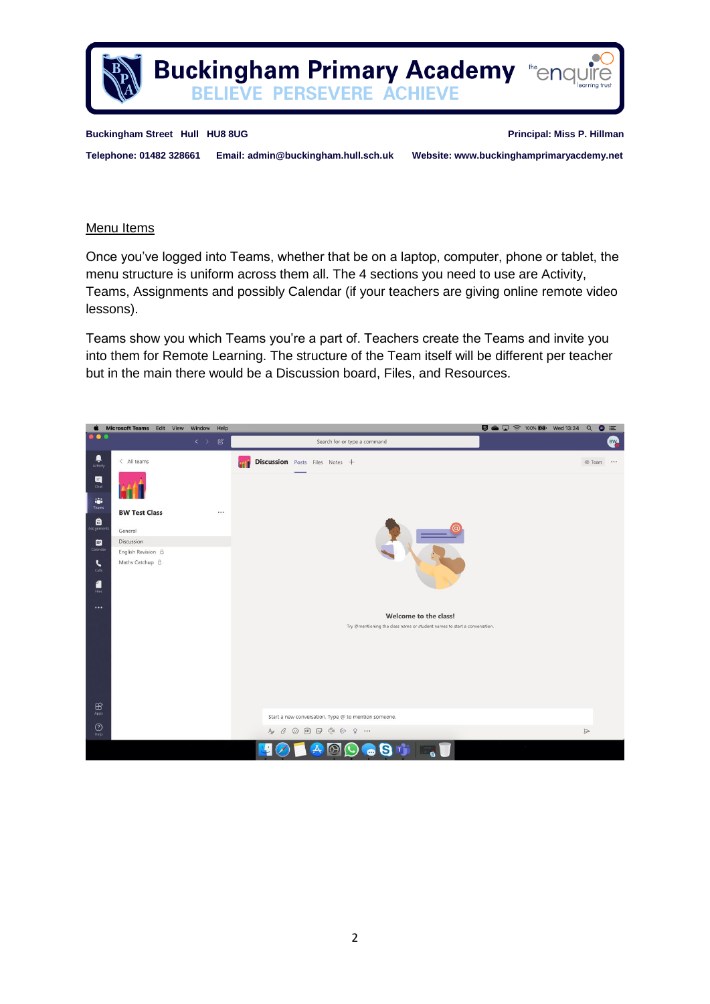

**Buckingham Street Hull HU8 8UG Principal: Miss P. Hillman** 

**Telephone: 01482 328661 Email: admin@buckingham.hull.sch.uk Website: www.buckinghamprimaryacdemy.net**

## Menu Items

Once you've logged into Teams, whether that be on a laptop, computer, phone or tablet, the menu structure is uniform across them all. The 4 sections you need to use are Activity, Teams, Assignments and possibly Calendar (if your teachers are giving online remote video lessons).

Teams show you which Teams you're a part of. Teachers create the Teams and invite you into them for Remote Learning. The structure of the Team itself will be different per teacher but in the main there would be a Discussion board, Files, and Resources.

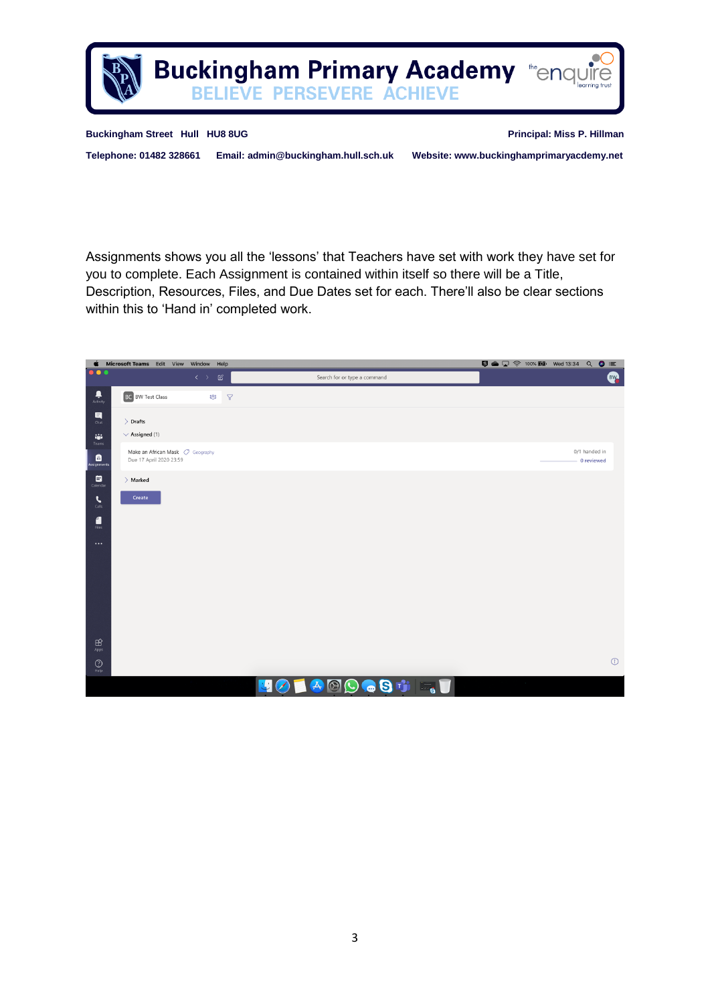

**Buckingham Street Hull HU8 8UG Principal: Miss P. Hillman** 

within this to 'Hand in' completed work.

**Telephone: 01482 328661 Email: admin@buckingham.hull.sch.uk Website: www.buckinghamprimaryacdemy.net**

Assignments shows you all the 'lessons' that Teachers have set with work they have set for you to complete. Each Assignment is contained within itself so there will be a Title, Description, Resources, Files, and Due Dates set for each. There'll also be clear sections